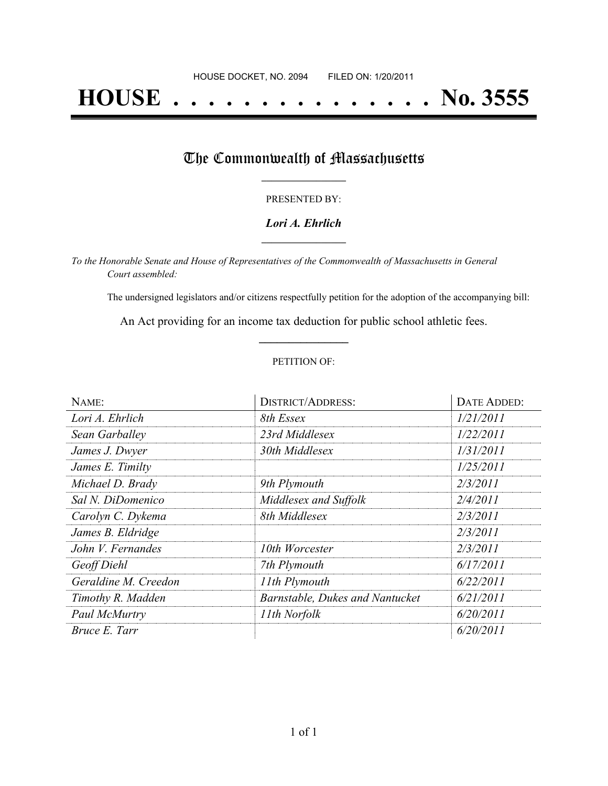# **HOUSE . . . . . . . . . . . . . . . No. 3555**

### The Commonwealth of Massachusetts

#### PRESENTED BY:

#### *Lori A. Ehrlich* **\_\_\_\_\_\_\_\_\_\_\_\_\_\_\_\_\_**

*To the Honorable Senate and House of Representatives of the Commonwealth of Massachusetts in General Court assembled:*

The undersigned legislators and/or citizens respectfully petition for the adoption of the accompanying bill:

An Act providing for an income tax deduction for public school athletic fees. **\_\_\_\_\_\_\_\_\_\_\_\_\_\_\_**

#### PETITION OF:

| NAME:                | <b>DISTRICT/ADDRESS:</b>        | DATE ADDED: |
|----------------------|---------------------------------|-------------|
| Lori A. Ehrlich      | 8th Essex                       | 1/21/2011   |
| Sean Garballey       | 23rd Middlesex                  | 1/22/2011   |
| James J. Dwyer       | 30th Middlesex                  | 1/31/2011   |
| James E. Timilty     |                                 | 1/25/2011   |
| Michael D. Brady     | 9th Plymouth                    | 2/3/2011    |
| Sal N. DiDomenico    | Middlesex and Suffolk           | 2/4/2011    |
| Carolyn C. Dykema    | 8th Middlesex                   | 2/3/2011    |
| James B. Eldridge    |                                 | 2/3/2011    |
| John V. Fernandes    | 10th Worcester                  | 2/3/2011    |
| Geoff Diehl          | 7th Plymouth                    | 6/17/2011   |
| Geraldine M. Creedon | 11th Plymouth                   | 6/22/2011   |
| Timothy R. Madden    | Barnstable, Dukes and Nantucket | 6/21/2011   |
| Paul McMurtry        | 11th Norfolk                    | 6/20/2011   |
| Bruce E. Tarr        |                                 | 6/20/2011   |